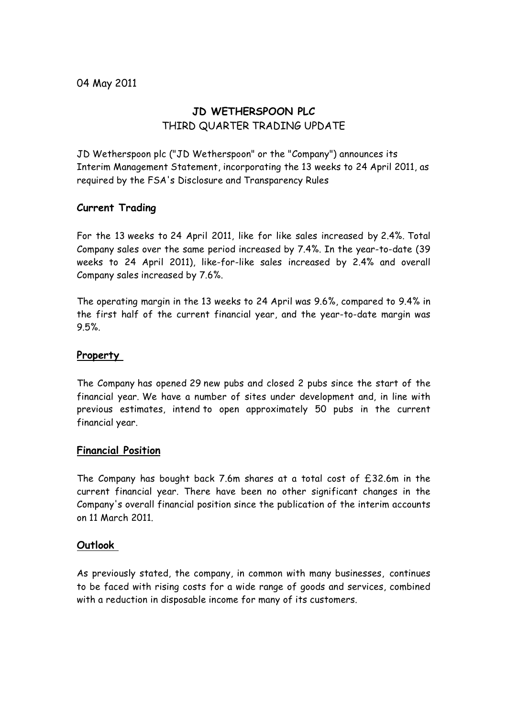# **JD WETHERSPOON PLC** THIRD QUARTER TRADING UPDATE

JD Wetherspoon plc ("JD Wetherspoon" or the "Company") announces its Interim Management Statement, incorporating the 13 weeks to 24 April 2011, as required by the FSA's Disclosure and Transparency Rules

## **Current Trading**

For the 13 weeks to 24 April 2011, like for like sales increased by 2.4%. Total Company sales over the same period increased by 7.4%. In the year-to-date (39 weeks to 24 April 2011), like-for-like sales increased by 2.4% and overall Company sales increased by 7.6%.

The operating margin in the 13 weeks to 24 April was 9.6%, compared to 9.4% in the first half of the current financial year, and the year-to-date margin was 9.5%.

## **Property**

The Company has opened 29 new pubs and closed 2 pubs since the start of the financial year. We have a number of sites under development and, in line with previous estimates, intend to open approximately 50 pubs in the current financial year.

### **Financial Position**

The Company has bought back 7.6m shares at a total cost of £32.6m in the current financial year. There have been no other significant changes in the Company's overall financial position since the publication of the interim accounts on 11 March 2011.

### **Outlook**

As previously stated, the company, in common with many businesses, continues to be faced with rising costs for a wide range of goods and services, combined with a reduction in disposable income for many of its customers.